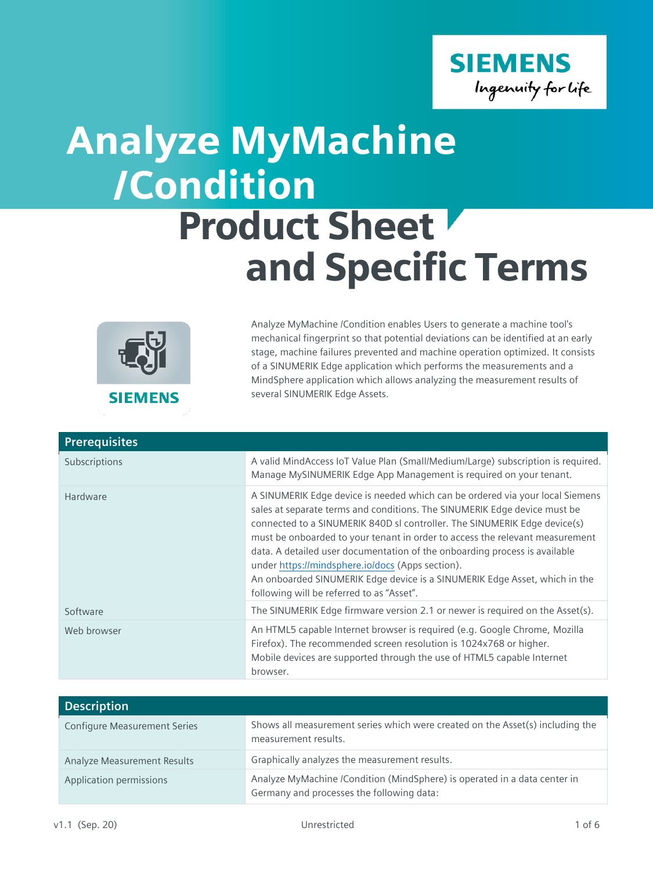

## /Condition Product Sheet and Specific Terms Analyze MyMachine



Analyze MyMachine /Condition enables Users to generate a machine tool's mechanical fingerprint so that potential deviations can be identified at an early stage, machine failures prevented and machine operation optimized. It consists of a SINUMERIK Edge application which performs the measurements and a MindSphere application which allows analyzing the measurement results of several SINUMERIK Edge Assets.

| <b>Prerequisites</b> |                                                                                                                                                                                                                                                                                                                                                                                                                                                                                                                                                                                      |
|----------------------|--------------------------------------------------------------------------------------------------------------------------------------------------------------------------------------------------------------------------------------------------------------------------------------------------------------------------------------------------------------------------------------------------------------------------------------------------------------------------------------------------------------------------------------------------------------------------------------|
| Subscriptions        | A valid MindAccess IoT Value Plan (Small/Medium/Large) subscription is required.<br>Manage MySINUMERIK Edge App Management is required on your tenant.                                                                                                                                                                                                                                                                                                                                                                                                                               |
| Hardware             | A SINUMERIK Edge device is needed which can be ordered via your local Siemens<br>sales at separate terms and conditions. The SINUMERIK Edge device must be<br>connected to a SINUMERIK 840D sl controller. The SINUMERIK Edge device(s)<br>must be onboarded to your tenant in order to access the relevant measurement<br>data. A detailed user documentation of the onboarding process is available<br>under https://mindsphere.io/docs (Apps section).<br>An onboarded SINUMERIK Edge device is a SINUMERIK Edge Asset, which in the<br>following will be referred to as "Asset". |
| Software             | The SINUMERIK Edge firmware version 2.1 or newer is required on the Asset(s).                                                                                                                                                                                                                                                                                                                                                                                                                                                                                                        |
| Web browser          | An HTML5 capable Internet browser is required (e.g. Google Chrome, Mozilla<br>Firefox). The recommended screen resolution is 1024x768 or higher.<br>Mobile devices are supported through the use of HTML5 capable Internet<br>browser.                                                                                                                                                                                                                                                                                                                                               |

| <b>Description</b>                  |                                                                                                                        |
|-------------------------------------|------------------------------------------------------------------------------------------------------------------------|
| <b>Configure Measurement Series</b> | Shows all measurement series which were created on the Asset(s) including the<br>measurement results.                  |
| Analyze Measurement Results         | Graphically analyzes the measurement results.                                                                          |
| Application permissions             | Analyze MyMachine /Condition (MindSphere) is operated in a data center in<br>Germany and processes the following data: |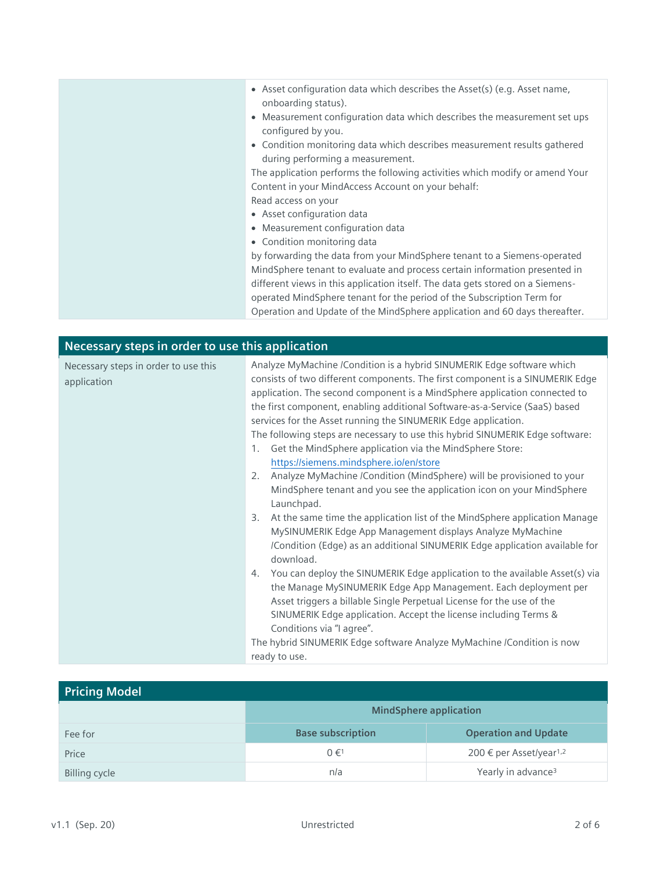| • Asset configuration data which describes the Asset(s) (e.g. Asset name, |
|---------------------------------------------------------------------------|
| onboarding status).                                                       |

- Measurement configuration data which describes the measurement set ups configured by you.
- Condition monitoring data which describes measurement results gathered during performing a measurement.

The application performs the following activities which modify or amend Your Content in your MindAccess Account on your behalf:

Read access on your

- Asset configuration data
- Measurement configuration data
- Condition monitoring data

by forwarding the data from your MindSphere tenant to a Siemens-operated MindSphere tenant to evaluate and process certain information presented in different views in this application itself. The data gets stored on a Siemensoperated MindSphere tenant for the period of the Subscription Term for Operation and Update of the MindSphere application and 60 days thereafter.

| Necessary steps in order to use this application    |                                                                                                                                                                                                                                                                                                                                                                                                                                                                                                                                                                                                                                                                                                                                                                                                                                               |
|-----------------------------------------------------|-----------------------------------------------------------------------------------------------------------------------------------------------------------------------------------------------------------------------------------------------------------------------------------------------------------------------------------------------------------------------------------------------------------------------------------------------------------------------------------------------------------------------------------------------------------------------------------------------------------------------------------------------------------------------------------------------------------------------------------------------------------------------------------------------------------------------------------------------|
| Necessary steps in order to use this<br>application | Analyze MyMachine /Condition is a hybrid SINUMERIK Edge software which<br>consists of two different components. The first component is a SINUMERIK Edge<br>application. The second component is a MindSphere application connected to<br>the first component, enabling additional Software-as-a-Service (SaaS) based<br>services for the Asset running the SINUMERIK Edge application.<br>The following steps are necessary to use this hybrid SINUMERIK Edge software:<br>Get the MindSphere application via the MindSphere Store:<br>1.<br>https://siemens.mindsphere.io/en/store<br>Analyze MyMachine /Condition (MindSphere) will be provisioned to your<br>2.<br>MindSphere tenant and you see the application icon on your MindSphere<br>Launchpad.<br>At the same time the application list of the MindSphere application Manage<br>3. |
|                                                     | MySINUMERIK Edge App Management displays Analyze MyMachine<br>/Condition (Edge) as an additional SINUMERIK Edge application available for<br>download.<br>You can deploy the SINUMERIK Edge application to the available Asset(s) via<br>4.<br>the Manage MySINUMERIK Edge App Management. Each deployment per<br>Asset triggers a billable Single Perpetual License for the use of the<br>SINUMERIK Edge application. Accept the license including Terms &<br>Conditions via "I agree".<br>The hybrid SINUMERIK Edge software Analyze MyMachine /Condition is now<br>ready to use.                                                                                                                                                                                                                                                           |

| <b>Pricing Model</b> |                          |                                     |
|----------------------|--------------------------|-------------------------------------|
|                      |                          | <b>MindSphere application</b>       |
| Fee for              | <b>Base subscription</b> | <b>Operation and Update</b>         |
| Price                | $0 \in I$                | 200 € per Asset/year <sup>1,2</sup> |
| <b>Billing cycle</b> | n/a                      | Yearly in advance <sup>3</sup>      |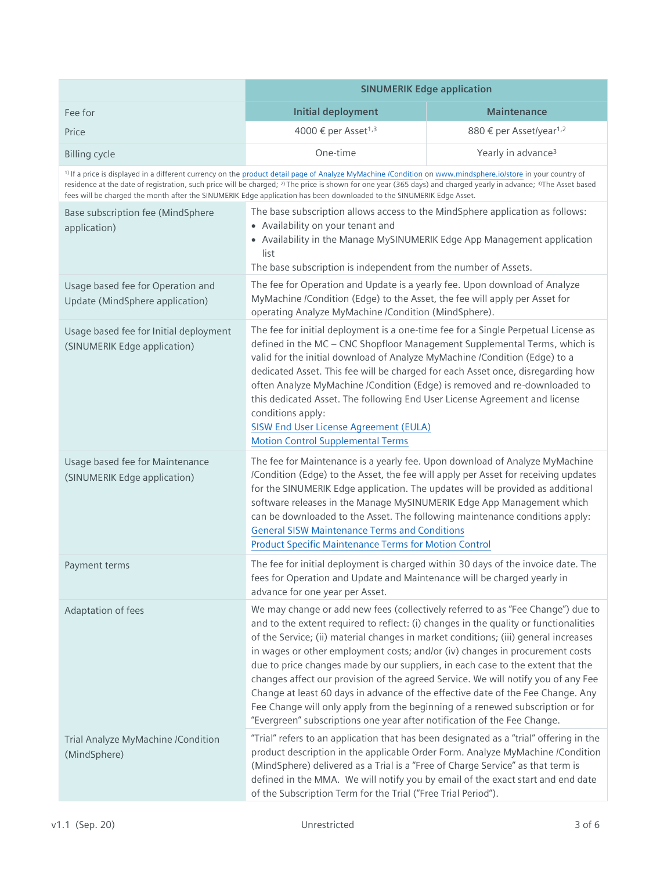|                                                                        | <b>SINUMERIK Edge application</b>                                                                                                                                                                                                                                                                                                                                                                                                                                                                                                                                                                                                                                                                                                                                       |                                     |
|------------------------------------------------------------------------|-------------------------------------------------------------------------------------------------------------------------------------------------------------------------------------------------------------------------------------------------------------------------------------------------------------------------------------------------------------------------------------------------------------------------------------------------------------------------------------------------------------------------------------------------------------------------------------------------------------------------------------------------------------------------------------------------------------------------------------------------------------------------|-------------------------------------|
| Fee for                                                                | Initial deployment                                                                                                                                                                                                                                                                                                                                                                                                                                                                                                                                                                                                                                                                                                                                                      | <b>Maintenance</b>                  |
| Price                                                                  | 4000 € per Asset <sup>1,3</sup>                                                                                                                                                                                                                                                                                                                                                                                                                                                                                                                                                                                                                                                                                                                                         | 880 € per Asset/year <sup>1,2</sup> |
| <b>Billing cycle</b>                                                   | One-time                                                                                                                                                                                                                                                                                                                                                                                                                                                                                                                                                                                                                                                                                                                                                                | Yearly in advance <sup>3</sup>      |
|                                                                        | <sup>1)</sup> If a price is displayed in a different currency on the product detail page of Analyze MyMachine /Condition on www.mindsphere.io/store in your country of<br>residence at the date of registration, such price will be charged; <sup>2)</sup> The price is shown for one year (365 days) and charged yearly in advance; <sup>3)</sup> The Asset based<br>fees will be charged the month after the SINUMERIK Edge application has been downloaded to the SINUMERIK Edge Asset.                                                                                                                                                                                                                                                                              |                                     |
| Base subscription fee (MindSphere<br>application)                      | The base subscription allows access to the MindSphere application as follows:<br>• Availability on your tenant and<br>• Availability in the Manage MySINUMERIK Edge App Management application<br>list<br>The base subscription is independent from the number of Assets.                                                                                                                                                                                                                                                                                                                                                                                                                                                                                               |                                     |
| Usage based fee for Operation and<br>Update (MindSphere application)   | The fee for Operation and Update is a yearly fee. Upon download of Analyze<br>MyMachine /Condition (Edge) to the Asset, the fee will apply per Asset for<br>operating Analyze MyMachine /Condition (MindSphere).                                                                                                                                                                                                                                                                                                                                                                                                                                                                                                                                                        |                                     |
| Usage based fee for Initial deployment<br>(SINUMERIK Edge application) | The fee for initial deployment is a one-time fee for a Single Perpetual License as<br>defined in the MC - CNC Shopfloor Management Supplemental Terms, which is<br>valid for the initial download of Analyze MyMachine /Condition (Edge) to a<br>dedicated Asset. This fee will be charged for each Asset once, disregarding how<br>often Analyze MyMachine /Condition (Edge) is removed and re-downloaded to<br>this dedicated Asset. The following End User License Agreement and license<br>conditions apply:<br><b>SISW End User License Agreement (EULA)</b><br><b>Motion Control Supplemental Terms</b>                                                                                                                                                           |                                     |
| Usage based fee for Maintenance<br>(SINUMERIK Edge application)        | The fee for Maintenance is a yearly fee. Upon download of Analyze MyMachine<br>/Condition (Edge) to the Asset, the fee will apply per Asset for receiving updates<br>for the SINUMERIK Edge application. The updates will be provided as additional<br>software releases in the Manage MySINUMERIK Edge App Management which<br>can be downloaded to the Asset. The following maintenance conditions apply:<br><b>General SISW Maintenance Terms and Conditions</b><br><b>Product Specific Maintenance Terms for Motion Control</b>                                                                                                                                                                                                                                     |                                     |
| Payment terms                                                          | The fee for initial deployment is charged within 30 days of the invoice date. The<br>fees for Operation and Update and Maintenance will be charged yearly in<br>advance for one year per Asset.                                                                                                                                                                                                                                                                                                                                                                                                                                                                                                                                                                         |                                     |
| Adaptation of fees                                                     | We may change or add new fees (collectively referred to as "Fee Change") due to<br>and to the extent required to reflect: (i) changes in the quality or functionalities<br>of the Service; (ii) material changes in market conditions; (iii) general increases<br>in wages or other employment costs; and/or (iv) changes in procurement costs<br>due to price changes made by our suppliers, in each case to the extent that the<br>changes affect our provision of the agreed Service. We will notify you of any Fee<br>Change at least 60 days in advance of the effective date of the Fee Change. Any<br>Fee Change will only apply from the beginning of a renewed subscription or for<br>"Evergreen" subscriptions one year after notification of the Fee Change. |                                     |
| Trial Analyze MyMachine /Condition<br>(MindSphere)                     | "Trial" refers to an application that has been designated as a "trial" offering in the<br>product description in the applicable Order Form. Analyze MyMachine /Condition<br>(MindSphere) delivered as a Trial is a "Free of Charge Service" as that term is<br>defined in the MMA. We will notify you by email of the exact start and end date<br>of the Subscription Term for the Trial ("Free Trial Period").                                                                                                                                                                                                                                                                                                                                                         |                                     |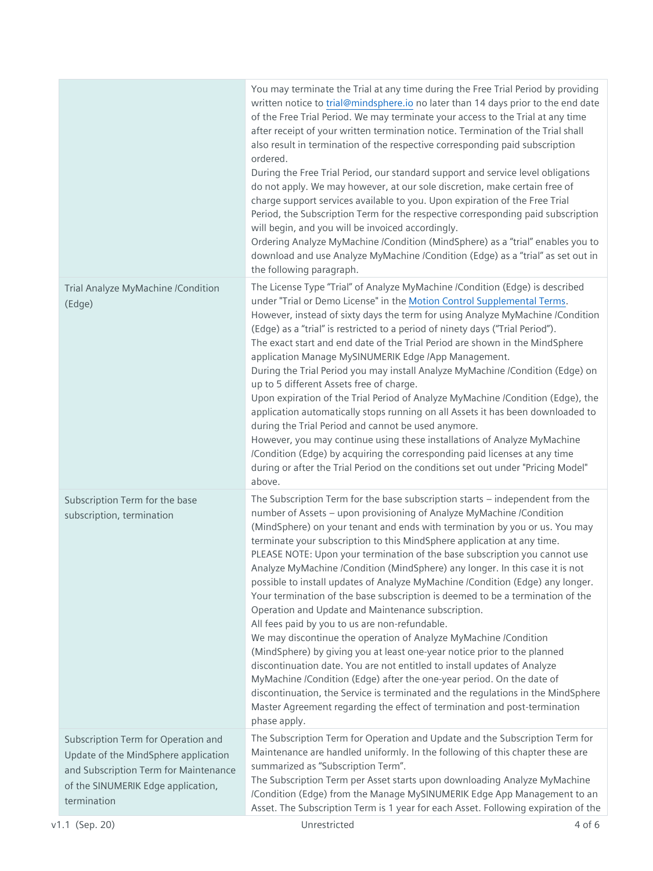|                                                                                                                                                                           | You may terminate the Trial at any time during the Free Trial Period by providing<br>written notice to trial@mindsphere.io no later than 14 days prior to the end date<br>of the Free Trial Period. We may terminate your access to the Trial at any time<br>after receipt of your written termination notice. Termination of the Trial shall<br>also result in termination of the respective corresponding paid subscription<br>ordered.<br>During the Free Trial Period, our standard support and service level obligations<br>do not apply. We may however, at our sole discretion, make certain free of<br>charge support services available to you. Upon expiration of the Free Trial<br>Period, the Subscription Term for the respective corresponding paid subscription<br>will begin, and you will be invoiced accordingly.<br>Ordering Analyze MyMachine /Condition (MindSphere) as a "trial" enables you to<br>download and use Analyze MyMachine /Condition (Edge) as a "trial" as set out in<br>the following paragraph.                                                                                                                                                                                                            |
|---------------------------------------------------------------------------------------------------------------------------------------------------------------------------|-------------------------------------------------------------------------------------------------------------------------------------------------------------------------------------------------------------------------------------------------------------------------------------------------------------------------------------------------------------------------------------------------------------------------------------------------------------------------------------------------------------------------------------------------------------------------------------------------------------------------------------------------------------------------------------------------------------------------------------------------------------------------------------------------------------------------------------------------------------------------------------------------------------------------------------------------------------------------------------------------------------------------------------------------------------------------------------------------------------------------------------------------------------------------------------------------------------------------------------------------|
| Trial Analyze MyMachine /Condition<br>(Edge)                                                                                                                              | The License Type "Trial" of Analyze MyMachine /Condition (Edge) is described<br>under "Trial or Demo License" in the Motion Control Supplemental Terms.<br>However, instead of sixty days the term for using Analyze MyMachine /Condition<br>(Edge) as a "trial" is restricted to a period of ninety days ("Trial Period").<br>The exact start and end date of the Trial Period are shown in the MindSphere<br>application Manage MySINUMERIK Edge /App Management.<br>During the Trial Period you may install Analyze MyMachine /Condition (Edge) on<br>up to 5 different Assets free of charge.<br>Upon expiration of the Trial Period of Analyze MyMachine /Condition (Edge), the<br>application automatically stops running on all Assets it has been downloaded to<br>during the Trial Period and cannot be used anymore.<br>However, you may continue using these installations of Analyze MyMachine<br>/Condition (Edge) by acquiring the corresponding paid licenses at any time<br>during or after the Trial Period on the conditions set out under "Pricing Model"<br>above.                                                                                                                                                          |
| Subscription Term for the base<br>subscription, termination                                                                                                               | The Subscription Term for the base subscription starts - independent from the<br>number of Assets - upon provisioning of Analyze MyMachine /Condition<br>(MindSphere) on your tenant and ends with termination by you or us. You may<br>terminate your subscription to this MindSphere application at any time.<br>PLEASE NOTE: Upon your termination of the base subscription you cannot use<br>Analyze MyMachine /Condition (MindSphere) any longer. In this case it is not<br>possible to install updates of Analyze MyMachine /Condition (Edge) any longer.<br>Your termination of the base subscription is deemed to be a termination of the<br>Operation and Update and Maintenance subscription.<br>All fees paid by you to us are non-refundable.<br>We may discontinue the operation of Analyze MyMachine /Condition<br>(MindSphere) by giving you at least one-year notice prior to the planned<br>discontinuation date. You are not entitled to install updates of Analyze<br>MyMachine /Condition (Edge) after the one-year period. On the date of<br>discontinuation, the Service is terminated and the regulations in the MindSphere<br>Master Agreement regarding the effect of termination and post-termination<br>phase apply. |
| Subscription Term for Operation and<br>Update of the MindSphere application<br>and Subscription Term for Maintenance<br>of the SINUMERIK Edge application,<br>termination | The Subscription Term for Operation and Update and the Subscription Term for<br>Maintenance are handled uniformly. In the following of this chapter these are<br>summarized as "Subscription Term".<br>The Subscription Term per Asset starts upon downloading Analyze MyMachine<br>/Condition (Edge) from the Manage MySINUMERIK Edge App Management to an<br>Asset. The Subscription Term is 1 year for each Asset. Following expiration of the                                                                                                                                                                                                                                                                                                                                                                                                                                                                                                                                                                                                                                                                                                                                                                                               |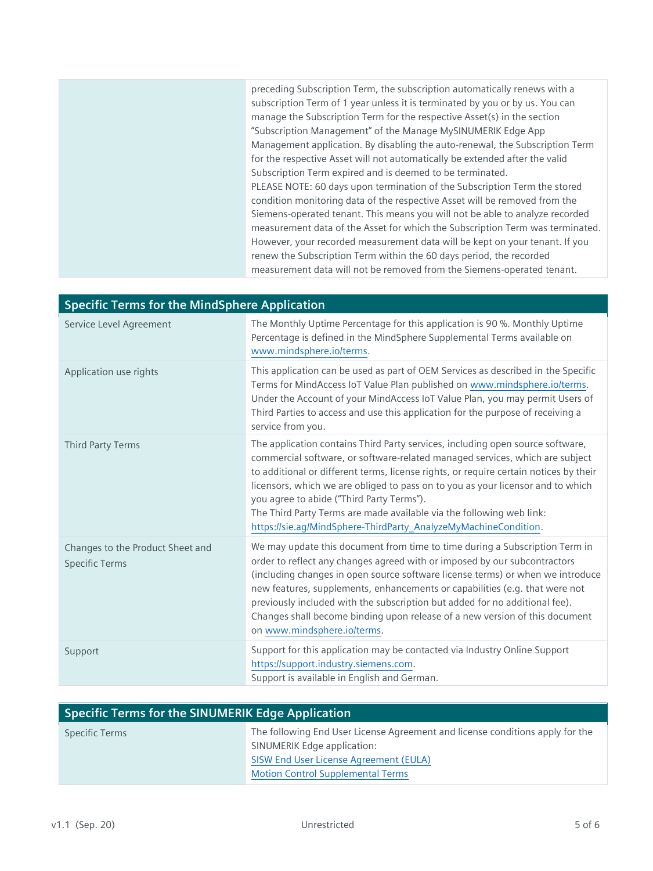| preceding Subscription Term, the subscription automatically renews with a     |
|-------------------------------------------------------------------------------|
| subscription Term of 1 year unless it is terminated by you or by us. You can  |
| manage the Subscription Term for the respective Asset(s) in the section       |
| "Subscription Management" of the Manage MySINUMERIK Edge App                  |
| Management application. By disabling the auto-renewal, the Subscription Term  |
| for the respective Asset will not automatically be extended after the valid   |
| Subscription Term expired and is deemed to be terminated.                     |
| PLEASE NOTE: 60 days upon termination of the Subscription Term the stored     |
| condition monitoring data of the respective Asset will be removed from the    |
| Siemens-operated tenant. This means you will not be able to analyze recorded  |
| measurement data of the Asset for which the Subscription Term was terminated. |
| However, your recorded measurement data will be kept on your tenant. If you   |
| renew the Subscription Term within the 60 days period, the recorded           |
| measurement data will not be removed from the Siemens-operated tenant.        |

| <b>Specific Terms for the MindSphere Application</b>      |                                                                                                                                                                                                                                                                                                                                                                                                                                                                                                                                    |  |
|-----------------------------------------------------------|------------------------------------------------------------------------------------------------------------------------------------------------------------------------------------------------------------------------------------------------------------------------------------------------------------------------------------------------------------------------------------------------------------------------------------------------------------------------------------------------------------------------------------|--|
| Service Level Agreement                                   | The Monthly Uptime Percentage for this application is 90 %. Monthly Uptime<br>Percentage is defined in the MindSphere Supplemental Terms available on<br>www.mindsphere.io/terms.                                                                                                                                                                                                                                                                                                                                                  |  |
| Application use rights                                    | This application can be used as part of OEM Services as described in the Specific<br>Terms for MindAccess IoT Value Plan published on www.mindsphere.io/terms.<br>Under the Account of your MindAccess IoT Value Plan, you may permit Users of<br>Third Parties to access and use this application for the purpose of receiving a<br>service from you.                                                                                                                                                                             |  |
| Third Party Terms                                         | The application contains Third Party services, including open source software,<br>commercial software, or software-related managed services, which are subject<br>to additional or different terms, license rights, or require certain notices by their<br>licensors, which we are obliged to pass on to you as your licensor and to which<br>you agree to abide ("Third Party Terms").<br>The Third Party Terms are made available via the following web link:<br>https://sie.ag/MindSphere-ThirdParty_AnalyzeMyMachineCondition. |  |
| Changes to the Product Sheet and<br><b>Specific Terms</b> | We may update this document from time to time during a Subscription Term in<br>order to reflect any changes agreed with or imposed by our subcontractors<br>(including changes in open source software license terms) or when we introduce<br>new features, supplements, enhancements or capabilities (e.g. that were not<br>previously included with the subscription but added for no additional fee).<br>Changes shall become binding upon release of a new version of this document<br>on www.mindsphere.io/terms.             |  |
| Support                                                   | Support for this application may be contacted via Industry Online Support<br>https://support.industry.siemens.com.<br>Support is available in English and German.                                                                                                                                                                                                                                                                                                                                                                  |  |

| <b>Specific Terms for the SINUMERIK Edge Application</b> |                                                                               |
|----------------------------------------------------------|-------------------------------------------------------------------------------|
| <b>Specific Terms</b>                                    | The following End User License Agreement and license conditions apply for the |
|                                                          | <b>SINUMERIK Edge application:</b>                                            |
|                                                          | <b>SISW End User License Agreement (EULA)</b>                                 |
|                                                          | <b>Motion Control Supplemental Terms</b>                                      |